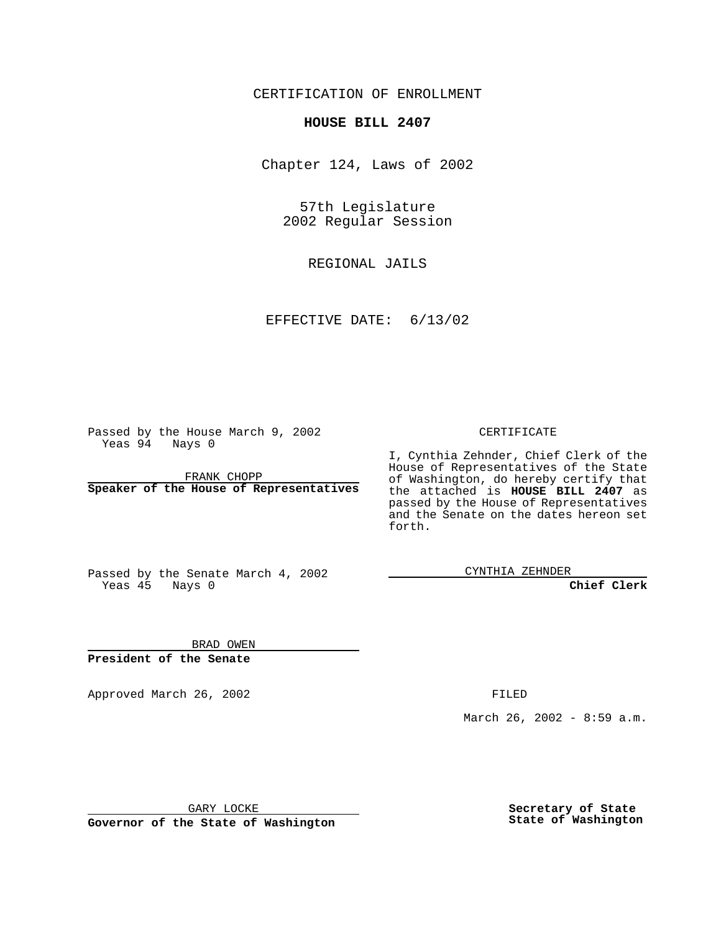CERTIFICATION OF ENROLLMENT

## **HOUSE BILL 2407**

Chapter 124, Laws of 2002

57th Legislature 2002 Regular Session

REGIONAL JAILS

EFFECTIVE DATE: 6/13/02

Passed by the House March 9, 2002 Yeas 94 Nays 0

FRANK CHOPP **Speaker of the House of Representatives** CERTIFICATE

I, Cynthia Zehnder, Chief Clerk of the House of Representatives of the State of Washington, do hereby certify that the attached is **HOUSE BILL 2407** as passed by the House of Representatives and the Senate on the dates hereon set forth.

Passed by the Senate March 4, 2002 Yeas 45 Nays 0

CYNTHIA ZEHNDER

**Chief Clerk**

BRAD OWEN **President of the Senate**

Approved March 26, 2002 **FILED** 

March 26, 2002 - 8:59 a.m.

GARY LOCKE

**Governor of the State of Washington**

**Secretary of State State of Washington**